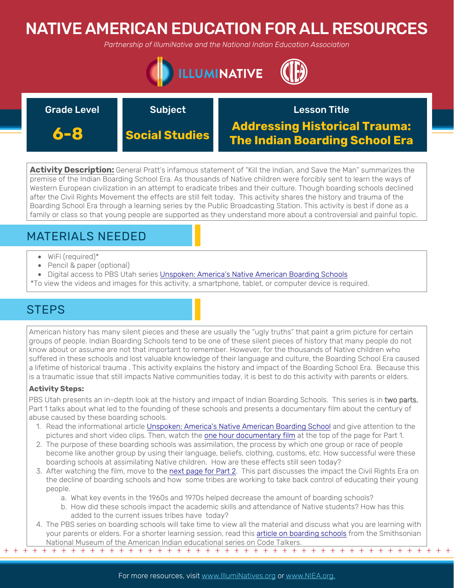# NATIVE AMERICAN EDUCATION FOR ALL RESOURCES

*Partnership of IllumiNative and the National Indian Education Association*



| <b>Grade Level</b> | <b>Subject</b>        | <b>Lesson Title</b>                                                           |
|--------------------|-----------------------|-------------------------------------------------------------------------------|
| 6-8                | <b>Social Studies</b> | <b>Addressing Historical Trauma:</b><br><b>The Indian Boarding School Era</b> |

**Activity Description:** General Pratt's infamous statement of "Kill the Indian, and Save the Man" summarizes the premise of the Indian Boarding School Era. As thousands of Native children were forcibly sent to learn the ways of Western European civilization in an attempt to eradicate tribes and their culture. Though boarding schools declined after the Civil Rights Movement the effects are still felt today. This activity shares the history and trauma of the Boarding School Era through a learning series by the Public Broadcasting Station. This activity is best if done as a family or class so that young people are supported as they understand more about a controversial and painful topic.

## MATERIALS NEEDED

- WiFi (required)\*
- Pencil & paper (optional)
- Digital access to PBS Utah series [Unspoken: America's Native American Boarding Schools](https://www.pbsutah.org/whatson/pbs-utah-productions/unspoken-americas-native-american-boarding-schools)
- \*To view the videos and images for this activity, a smartphone, tablet, or computer device is required.

## **STEPS**

American history has many silent pieces and these are usually the "ugly truths" that paint a grim picture for certain groups of people. Indian Boarding Schools tend to be one of these silent pieces of history that many people do not know about or assume are not that important to remember. However, for the thousands of Native children who suffered in these schools and lost valuable knowledge of their language and culture, the Boarding School Era caused a lifetime of historical trauma . This activity explains the history and impact of the Boarding School Era. Because this is a traumatic issue that still impacts Native communities today, it is best to do this activity with parents or elders.

### **Activity Steps:**

PBS Utah presents an in-depth look at the history and impact of Indian Boarding Schools. This series is in two parts. Part 1 talks about what led to the founding of these schools and presents a documentary film about the century of abuse caused by these boarding schools.

- 1. Read the informational article [Unspoken: America's Native American Boarding School](https://www.pbsutah.org/whatson/pbs-utah-productions/unspoken-americas-native-american-boarding-schools) and give attention to the pictures and short video clips. Then, watch the [one hour documentary film](https://www.pbsutah.org/whatson/pbs-utah-productions/unspoken-americas-native-american-boarding-schools) at the top of the page for Part 1.
- 2. The purpose of these boarding schools was assimilation, the process by which one group or race of people become like another group by using their language, beliefs, clothing, customs, etc. How successful were these boarding schools at assimilating Native children. How are these effects still seen today?
- 3. After watching the film, move to [the next page for Part 2](https://www.pbsutah.org/whatson/kued-productions/unspoken-americas-native-american-boarding-schools/part-2). This part discusses the impact the Civil Rights Era on the decline of boarding schools and how some tribes are working to take back control of educating their young people.
	- a. What key events in the 1960s and 1970s helped decrease the amount of boarding schools?
	- b. How did these schools impact the academic skills and attendance of Native students? How has this added to the current issues tribes have today?
- + + + + + + + + + + + + + + + + + + + + + + + + + + + + + + + + + + + + + + + + + + + + + + + + 4. The PBS series on boarding schools will take time to view all the material and discuss what you are learning with your parents or elders. For a shorter learning session, read this [article on boarding schools](https://americanindian.si.edu/education/codetalkers/html/chapter3.html) from the Smithsonian National Museum of the American Indian educational series on Code Talkers.